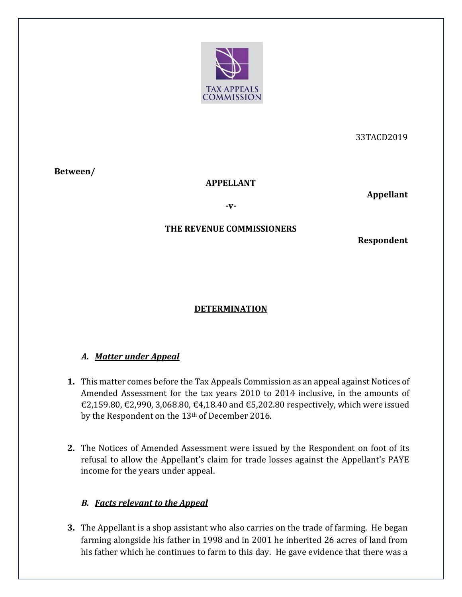

33TACD2019

**Between/**

#### **APPELLANT**

**Appellant** 

**-v-**

### **THE REVENUE COMMISSIONERS**

**Respondent** 

# **DETERMINATION**

### *A. Matter under Appeal*

- **1.** This matter comes before the Tax Appeals Commission as an appeal against Notices of Amended Assessment for the tax years 2010 to 2014 inclusive, in the amounts of  $€2,159.80, €2,990, 3,068.80, €4,18.40 \text{ and } €5,202.80 \text{ respectively, which were issued}$ by the Respondent on the 13th of December 2016.
- **2.** The Notices of Amended Assessment were issued by the Respondent on foot of its refusal to allow the Appellant's claim for trade losses against the Appellant's PAYE income for the years under appeal.

### *B. Facts relevant to the Appeal*

**3.** The Appellant is a shop assistant who also carries on the trade of farming. He began farming alongside his father in 1998 and in 2001 he inherited 26 acres of land from his father which he continues to farm to this day. He gave evidence that there was a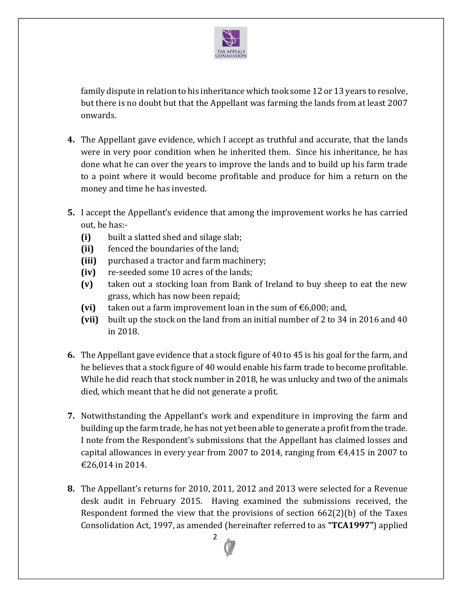

family dispute in relation to his inheritance which took some 12 or 13 years to resolve, but there is no doubt but that the Appellant was farming the lands from at least 2007 onwards.

- **4.** The Appellant gave evidence, which I accept as truthful and accurate, that the lands were in very poor condition when he inherited them. Since his inheritance, he has done what he can over the years to improve the lands and to build up his farm trade to a point where it would become profitable and produce for him a return on the money and time he has invested.
- **5.** I accept the Appellant's evidence that among the improvement works he has carried out, he has:-
	- **(i)** built a slatted shed and silage slab;
	- **(ii)** fenced the boundaries of the land;
	- **(iii)** purchased a tractor and farm machinery;
	- **(iv)** re-seeded some 10 acres of the lands;
	- **(v)** taken out a stocking loan from Bank of Ireland to buy sheep to eat the new grass, which has now been repaid;
	- **(vi)** taken out a farm improvement loan in the sum of  $\epsilon$ 6,000; and,
	- **(vii)** built up the stock on the land from an initial number of 2 to 34 in 2016 and 40 in 2018.
- **6.** The Appellant gave evidence that a stock figure of 40 to 45 is his goal for the farm, and he believes that a stock figure of 40 would enable his farm trade to become profitable. While he did reach that stock number in 2018, he was unlucky and two of the animals died, which meant that he did not generate a profit.
- **7.** Notwithstanding the Appellant's work and expenditure in improving the farm and building up the farm trade, he has not yet been able to generate a profit from the trade. I note from the Respondent's submissions that the Appellant has claimed losses and capital allowances in every year from 2007 to 2014, ranging from  $\epsilon$ 4,415 in 2007 to €26,014 in 2014.
- **8.** The Appellant's returns for 2010, 2011, 2012 and 2013 were selected for a Revenue desk audit in February 2015. Having examined the submissions received, the Respondent formed the view that the provisions of section 662(2)(b) of the Taxes Consolidation Act, 1997, as amended (hereinafter referred to as **"TCA1997"**) applied

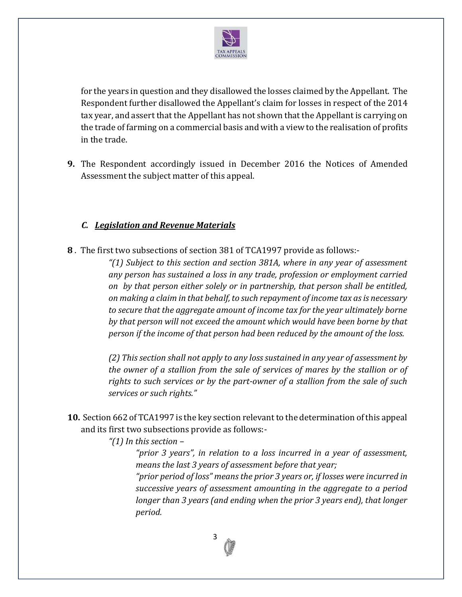

for the years in question and they disallowed the losses claimed by the Appellant. The Respondent further disallowed the Appellant's claim for losses in respect of the 2014 tax year, and assert that the Appellant has not shown that the Appellant is carrying on the trade of farming on a commercial basis and with a view to the realisation of profits in the trade.

**9.** The Respondent accordingly issued in December 2016 the Notices of Amended Assessment the subject matter of this appeal.

### *C. Legislation and Revenue Materials*

**8** . The first two subsections of section 381 of TCA1997 provide as follows:-

*"(1) Subject to this section and section 381A, where in any year of assessment any person has sustained a loss in any trade, profession or employment carried on by that person either solely or in partnership, that person shall be entitled, on making a claim in that behalf, to such repayment of income tax as is necessary to secure that the aggregate amount of income tax for the year ultimately borne by that person will not exceed the amount which would have been borne by that person if the income of that person had been reduced by the amount of the loss.*

*(2) This section shall not apply to any loss sustained in any year of assessment by the owner of a stallion from the sale of services of mares by the stallion or of rights to such services or by the part-owner of a stallion from the sale of such services or such rights."*

**10.** Section 662 of TCA1997 is the key section relevant to the determination of this appeal and its first two subsections provide as follows:-

### *"(1) In this section –*

*"prior 3 years", in relation to a loss incurred in a year of assessment, means the last 3 years of assessment before that year;*

*"prior period of loss" means the prior 3 years or, if losses were incurred in successive years of assessment amounting in the aggregate to a period longer than 3 years (and ending when the prior 3 years end), that longer period.*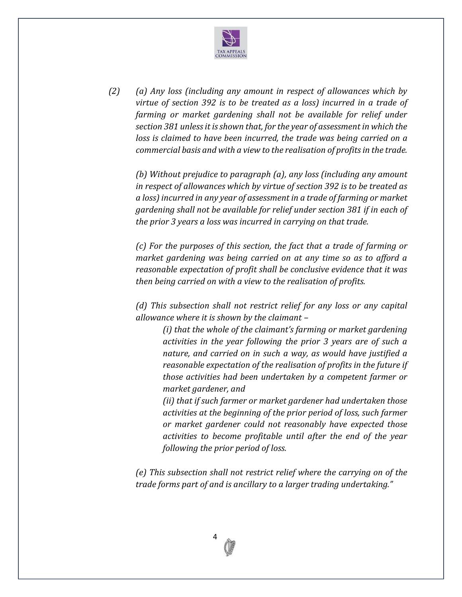

*(2) (a) Any loss (including any amount in respect of allowances which by virtue of section 392 is to be treated as a loss) incurred in a trade of farming or market gardening shall not be available for relief under section 381 unless it is shown that, for the year of assessment in which the loss is claimed to have been incurred, the trade was being carried on a commercial basis and with a view to the realisation of profits in the trade.*

*(b) Without prejudice to paragraph (a), any loss (including any amount in respect of allowances which by virtue of section 392 is to be treated as a loss) incurred in any year of assessment in a trade of farming or market gardening shall not be available for relief under section 381 if in each of the prior 3 years a loss was incurred in carrying on that trade.*

*(c) For the purposes of this section, the fact that a trade of farming or market gardening was being carried on at any time so as to afford a reasonable expectation of profit shall be conclusive evidence that it was then being carried on with a view to the realisation of profits.*

*(d) This subsection shall not restrict relief for any loss or any capital allowance where it is shown by the claimant –*

*(i) that the whole of the claimant's farming or market gardening activities in the year following the prior 3 years are of such a nature, and carried on in such a way, as would have justified a reasonable expectation of the realisation of profits in the future if those activities had been undertaken by a competent farmer or market gardener, and*

*(ii) that if such farmer or market gardener had undertaken those activities at the beginning of the prior period of loss, such farmer or market gardener could not reasonably have expected those activities to become profitable until after the end of the year following the prior period of loss.*

*(e) This subsection shall not restrict relief where the carrying on of the trade forms part of and is ancillary to a larger trading undertaking."*

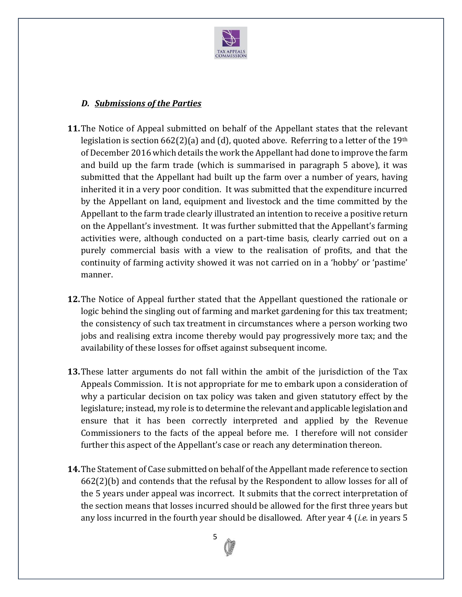

### *D. Submissions of the Parties*

- **11.**The Notice of Appeal submitted on behalf of the Appellant states that the relevant legislation is section  $662(2)(a)$  and (d), quoted above. Referring to a letter of the 19<sup>th</sup> of December 2016 which details the work the Appellant had done to improve the farm and build up the farm trade (which is summarised in paragraph 5 above), it was submitted that the Appellant had built up the farm over a number of years, having inherited it in a very poor condition. It was submitted that the expenditure incurred by the Appellant on land, equipment and livestock and the time committed by the Appellant to the farm trade clearly illustrated an intention to receive a positive return on the Appellant's investment. It was further submitted that the Appellant's farming activities were, although conducted on a part-time basis, clearly carried out on a purely commercial basis with a view to the realisation of profits, and that the continuity of farming activity showed it was not carried on in a 'hobby' or 'pastime' manner.
- **12.**The Notice of Appeal further stated that the Appellant questioned the rationale or logic behind the singling out of farming and market gardening for this tax treatment; the consistency of such tax treatment in circumstances where a person working two jobs and realising extra income thereby would pay progressively more tax; and the availability of these losses for offset against subsequent income.
- **13.**These latter arguments do not fall within the ambit of the jurisdiction of the Tax Appeals Commission. It is not appropriate for me to embark upon a consideration of why a particular decision on tax policy was taken and given statutory effect by the legislature; instead, my role is to determine the relevant and applicable legislation and ensure that it has been correctly interpreted and applied by the Revenue Commissioners to the facts of the appeal before me. I therefore will not consider further this aspect of the Appellant's case or reach any determination thereon.
- **14.**The Statement of Case submitted on behalf of the Appellant made reference to section  $662(2)$ (b) and contends that the refusal by the Respondent to allow losses for all of the 5 years under appeal was incorrect. It submits that the correct interpretation of the section means that losses incurred should be allowed for the first three years but any loss incurred in the fourth year should be disallowed. After year 4 (*i.e.* in years 5

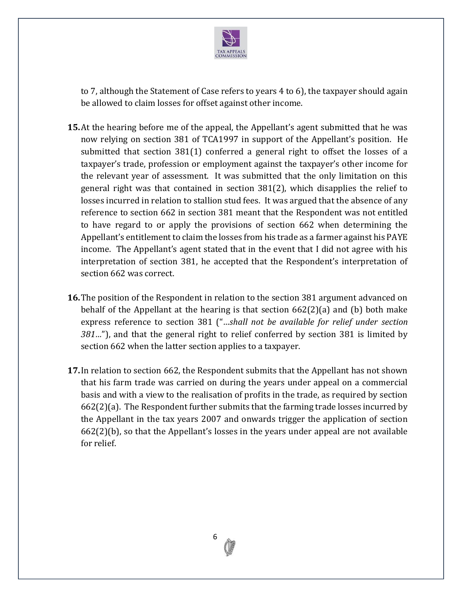

to 7, although the Statement of Case refers to years 4 to 6), the taxpayer should again be allowed to claim losses for offset against other income.

- **15.**At the hearing before me of the appeal, the Appellant's agent submitted that he was now relying on section 381 of TCA1997 in support of the Appellant's position. He submitted that section 381(1) conferred a general right to offset the losses of a taxpayer's trade, profession or employment against the taxpayer's other income for the relevant year of assessment. It was submitted that the only limitation on this general right was that contained in section 381(2), which disapplies the relief to losses incurred in relation to stallion stud fees. It was argued that the absence of any reference to section 662 in section 381 meant that the Respondent was not entitled to have regard to or apply the provisions of section 662 when determining the Appellant's entitlement to claim the losses from his trade as a farmer against his PAYE income. The Appellant's agent stated that in the event that I did not agree with his interpretation of section 381, he accepted that the Respondent's interpretation of section 662 was correct.
- **16.**The position of the Respondent in relation to the section 381 argument advanced on behalf of the Appellant at the hearing is that section  $662(2)(a)$  and (b) both make express reference to section 381 ("*…shall not be available for relief under section 381…*"), and that the general right to relief conferred by section 381 is limited by section 662 when the latter section applies to a taxpayer.
- **17.**In relation to section 662, the Respondent submits that the Appellant has not shown that his farm trade was carried on during the years under appeal on a commercial basis and with a view to the realisation of profits in the trade, as required by section 662(2)(a). The Respondent further submits that the farming trade losses incurred by the Appellant in the tax years 2007 and onwards trigger the application of section 662(2)(b), so that the Appellant's losses in the years under appeal are not available for relief.

6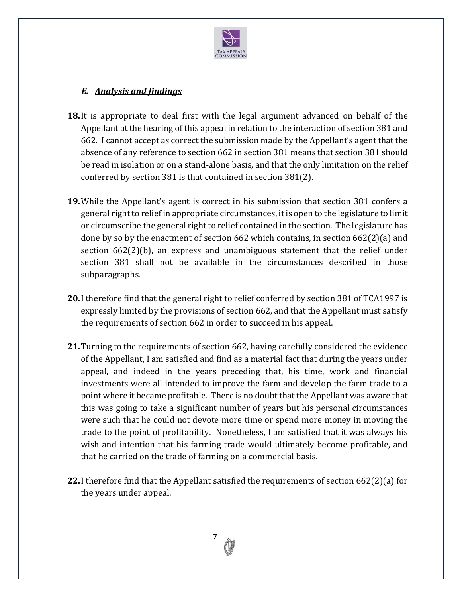

## *E. Analysis and findings*

- **18.**It is appropriate to deal first with the legal argument advanced on behalf of the Appellant at the hearing of this appeal in relation to the interaction of section 381 and 662. I cannot accept as correct the submission made by the Appellant's agent that the absence of any reference to section 662 in section 381 means that section 381 should be read in isolation or on a stand-alone basis, and that the only limitation on the relief conferred by section 381 is that contained in section 381(2).
- **19.**While the Appellant's agent is correct in his submission that section 381 confers a general right to relief in appropriate circumstances, it is open to the legislature to limit or circumscribe the general right to relief contained in the section. The legislature has done by so by the enactment of section 662 which contains, in section 662(2)(a) and section 662(2)(b), an express and unambiguous statement that the relief under section 381 shall not be available in the circumstances described in those subparagraphs.
- **20.**I therefore find that the general right to relief conferred by section 381 of TCA1997 is expressly limited by the provisions of section 662, and that the Appellant must satisfy the requirements of section 662 in order to succeed in his appeal.
- **21.**Turning to the requirements of section 662, having carefully considered the evidence of the Appellant, I am satisfied and find as a material fact that during the years under appeal, and indeed in the years preceding that, his time, work and financial investments were all intended to improve the farm and develop the farm trade to a point where it became profitable. There is no doubt that the Appellant was aware that this was going to take a significant number of years but his personal circumstances were such that he could not devote more time or spend more money in moving the trade to the point of profitability. Nonetheless, I am satisfied that it was always his wish and intention that his farming trade would ultimately become profitable, and that he carried on the trade of farming on a commercial basis.
- **22.**I therefore find that the Appellant satisfied the requirements of section 662(2)(a) for the years under appeal.

7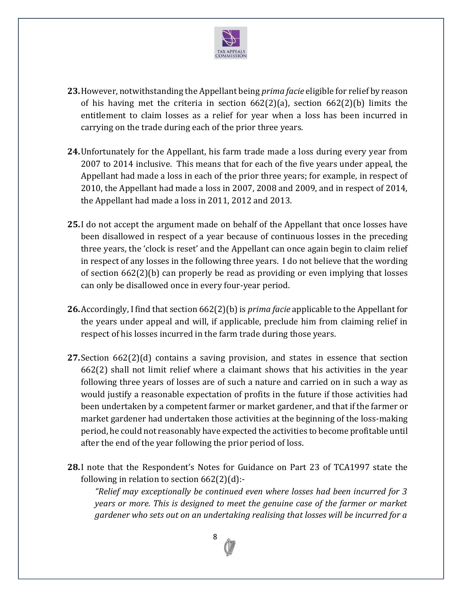

- **23.**However, notwithstanding the Appellant being *prima facie* eligible for relief by reason of his having met the criteria in section 662(2)(a), section 662(2)(b) limits the entitlement to claim losses as a relief for year when a loss has been incurred in carrying on the trade during each of the prior three years.
- **24.**Unfortunately for the Appellant, his farm trade made a loss during every year from 2007 to 2014 inclusive. This means that for each of the five years under appeal, the Appellant had made a loss in each of the prior three years; for example, in respect of 2010, the Appellant had made a loss in 2007, 2008 and 2009, and in respect of 2014, the Appellant had made a loss in 2011, 2012 and 2013.
- **25.**I do not accept the argument made on behalf of the Appellant that once losses have been disallowed in respect of a year because of continuous losses in the preceding three years, the 'clock is reset' and the Appellant can once again begin to claim relief in respect of any losses in the following three years. I do not believe that the wording of section 662(2)(b) can properly be read as providing or even implying that losses can only be disallowed once in every four-year period.
- **26.**Accordingly, I find that section 662(2)(b) is *prima facie* applicable to the Appellant for the years under appeal and will, if applicable, preclude him from claiming relief in respect of his losses incurred in the farm trade during those years.
- **27.**Section 662(2)(d) contains a saving provision, and states in essence that section 662(2) shall not limit relief where a claimant shows that his activities in the year following three years of losses are of such a nature and carried on in such a way as would justify a reasonable expectation of profits in the future if those activities had been undertaken by a competent farmer or market gardener, and that if the farmer or market gardener had undertaken those activities at the beginning of the loss-making period, he could not reasonably have expected the activities to become profitable until after the end of the year following the prior period of loss.
- **28.**I note that the Respondent's Notes for Guidance on Part 23 of TCA1997 state the following in relation to section  $662(2)(d)$ :-

*"Relief may exceptionally be continued even where losses had been incurred for 3 years or more. This is designed to meet the genuine case of the farmer or market gardener who sets out on an undertaking realising that losses will be incurred for a* 

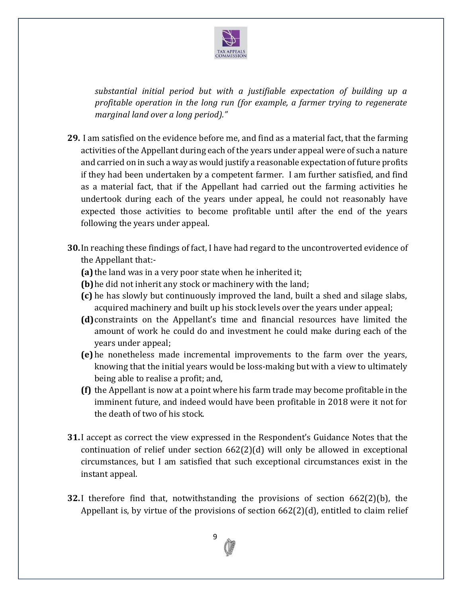

*substantial initial period but with a justifiable expectation of building up a profitable operation in the long run (for example, a farmer trying to regenerate marginal land over a long period)."*

- **29.** I am satisfied on the evidence before me, and find as a material fact, that the farming activities of the Appellant during each of the years under appeal were of such a nature and carried on in such a way as would justify a reasonable expectation of future profits if they had been undertaken by a competent farmer. I am further satisfied, and find as a material fact, that if the Appellant had carried out the farming activities he undertook during each of the years under appeal, he could not reasonably have expected those activities to become profitable until after the end of the years following the years under appeal.
- **30.**In reaching these findings of fact, I have had regard to the uncontroverted evidence of the Appellant that:-
	- **(a)** the land was in a very poor state when he inherited it;
	- **(b)**he did not inherit any stock or machinery with the land;
	- **(c)** he has slowly but continuously improved the land, built a shed and silage slabs, acquired machinery and built up his stock levels over the years under appeal;
	- **(d)**constraints on the Appellant's time and financial resources have limited the amount of work he could do and investment he could make during each of the years under appeal;
	- **(e)** he nonetheless made incremental improvements to the farm over the years, knowing that the initial years would be loss-making but with a view to ultimately being able to realise a profit; and,
	- **(f)** the Appellant is now at a point where his farm trade may become profitable in the imminent future, and indeed would have been profitable in 2018 were it not for the death of two of his stock.
- **31.**I accept as correct the view expressed in the Respondent's Guidance Notes that the continuation of relief under section  $662(2)(d)$  will only be allowed in exceptional circumstances, but I am satisfied that such exceptional circumstances exist in the instant appeal.
- **32.**I therefore find that, notwithstanding the provisions of section 662(2)(b), the Appellant is, by virtue of the provisions of section 662(2)(d), entitled to claim relief